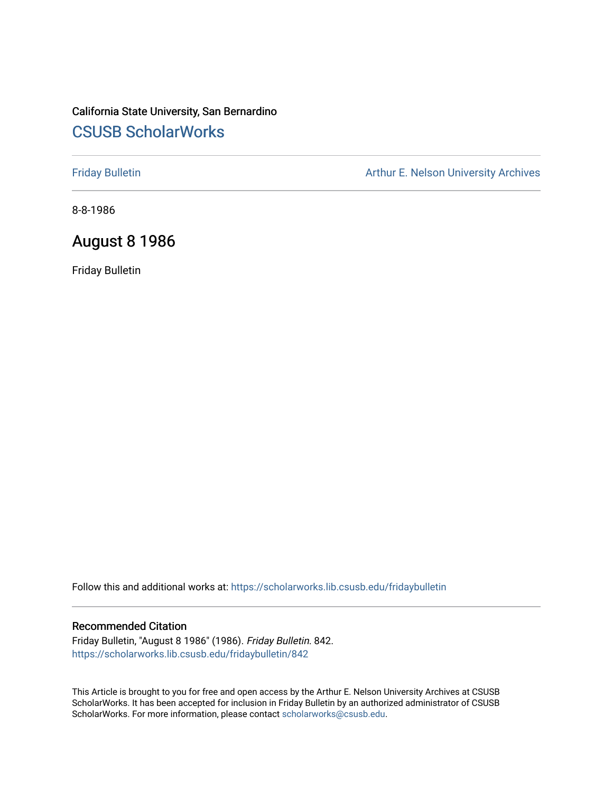# California State University, San Bernardino [CSUSB ScholarWorks](https://scholarworks.lib.csusb.edu/)

[Friday Bulletin](https://scholarworks.lib.csusb.edu/fridaybulletin) **Arthur E. Nelson University Archives** Arthur E. Nelson University Archives

8-8-1986

## August 8 1986

Friday Bulletin

Follow this and additional works at: [https://scholarworks.lib.csusb.edu/fridaybulletin](https://scholarworks.lib.csusb.edu/fridaybulletin?utm_source=scholarworks.lib.csusb.edu%2Ffridaybulletin%2F842&utm_medium=PDF&utm_campaign=PDFCoverPages)

### Recommended Citation

Friday Bulletin, "August 8 1986" (1986). Friday Bulletin. 842. [https://scholarworks.lib.csusb.edu/fridaybulletin/842](https://scholarworks.lib.csusb.edu/fridaybulletin/842?utm_source=scholarworks.lib.csusb.edu%2Ffridaybulletin%2F842&utm_medium=PDF&utm_campaign=PDFCoverPages)

This Article is brought to you for free and open access by the Arthur E. Nelson University Archives at CSUSB ScholarWorks. It has been accepted for inclusion in Friday Bulletin by an authorized administrator of CSUSB ScholarWorks. For more information, please contact [scholarworks@csusb.edu.](mailto:scholarworks@csusb.edu)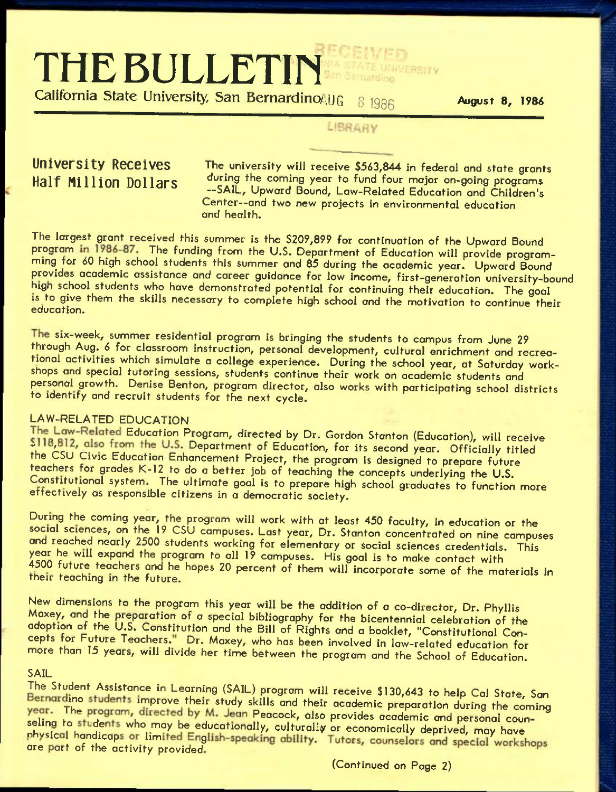# **THE BULLETIN**

California State University, San Bernardino 40G 8 1986 **August 8, 1986** 

### LIBRARY

**University Receives 32 The university will receive \$563,844 in federal and state grants Half Million Dollars** during the coming year to fund four major on-going programs —SAIL, Upward Bound, Law-Related Education and Children's Center—and two new projects In environmental education and health.

The largest grant received this summer is the \$209,899 for continuation of the Upward Bound program in 1986-87. The funding from the U.S. Department of Education will provide programming for 60 high school students this summer and 85 during the academic year. Upward Bound provides academic assistance and career guidance for low income, first-generation university-bound high school students who have demonstrated potential for continuing their education. The goal is to give them the skills necessary to complete high school and the motivation to continue their education.

The six-week, summer residential program is bringing the students to campus from June 29 through Aug. 6 for classroom instruction, personal development, cultural enrichment and recreational activities which simulate a college experience. During the school year, at Saturday workshops and special tutoring sessions, students continue their work on academic students and personal growth. Denise Benton, program director, also works with participating school districts to identify and recruit students for the next cycle.

### LAW-RELATED EDUCATION

The Law-Related Education Program, directed by Dr. Gordon Stanton (Education), will receive \$118,812, also from the U.S. Department of Education, for its second year. Officially titled the CSU Civic Education Enhancement Project, the program is designed to prepare future teachers for grades K-12 to do a better job of teaching the concepts underlying the U.S. Constitutional system. The ultimate goal is to prepare high school graduates to function more ettectively as responsible citizens in a democratic society.

During the coming year, the program will work with at least 450 faculty, in education or the social sciences, on the 19 CSU campuses. Last year, Dr. Stanton concentrated on nine campuses and reached nearly 2500 students working for elementary or social sciences credentials. This year he will expand the program to all 19 campuses. His goal is to make contact with 4500 future teachers and he hopes 20 percent of them will incorporate some of the materials in their teaching in the future.

New dimensions to the program this year will be the addition of a co-director. Dr. Phyllis Maxey, and the preparation of a special bibliography for the bicentennial celebration of the adoption of the U.S. Constitution and the Bill of Rights and a booklet, "Constitutional Concepts for Future Teachers." Dr. Maxey, who has been involved in law-related education for more than 15 years, will divide her time between the program and the School of Education.

SAIL<br>The Student Assistance in Learning (SAIL) program will receive \$130,643 to help Cal State, San Bernardino students improve their study skills and their academic preparation during the coming year. The program, directed by M. Jean Peacock, also provides academic and personal counseling to students who may be educationally, culturally or economically deprived, may have<br>physical handicaps or limited English-speaking ability. Tutors, counselors and special workshops are part of the activity provided.

(Continued on Page 2)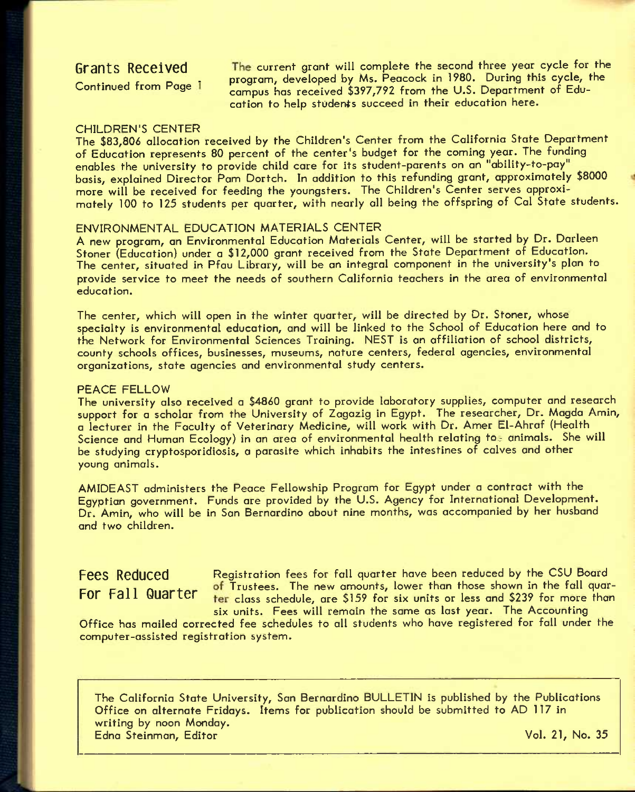Grants Received The current grant will complete the second three year cycle for the program, developed by Ms. Peacock in 1980. During this cycle, the Continued from Page i program, developed by Ms. Fedecock in 1700. Doring this cycle, cation to help students succeed in their education here.

### CHILDREN'S CENTER

The \$83,806 allocation received by the Children's Center from the California State Department of Education represents 80 percent of the center's budget for the coming year. The funding enabies the university to provide child care for its student-parents on an "ability-to-pay" basis, explained Director Pam Dortch. In addition to this refunding grant, approximately \$8000 more will be received for feeding the youngsters. The Children's Center serves approximately 100 to 125 students per quarter, with nearly all being the offspring of Cal State students.

### ENVIRONMENTAL EDUCATION MATERIALS CENTER

A new program, an Environmental Education Materials Center, will be started by Dr. Darleen Stoner (Education) under a \$12,000 grant received from the State Department of Education. The center, situated in Pfau Library, will be an integral component in the university's plan to provide service to meet the needs of southern California teachers in the area of environmental education.

The center, which will open in the winter quarter, will be directed by Dr. Stoner, whose specialty is environmental education, and will be linked to the School of Education here and to the Network for Environmental Sciences Training. NEST is an affiliation of school districts, county schools offices, businesses, museums, nature centers, federal agencies, environmental organizations, state agencies and environmental study centers.

### PEACE FELLOW

The university also received a \$4860 grant to provide laboratory supplies, computer and research support for a scholar from the University of Zagazig in Egypt. The researcher, Dr. Magda Amin, a lecturer in the Faculty of Veterinary Medicine, will work with Dr. Amer El-Ahraf (Health Science and Human Ecology) in an area of environmental health relating to animals. She will be studying cryptosporidiosis, a parasite which inhabits the intestines of calves and other young animals.

AMIDEAST administers the Peace Fellowship Program for Egypt under a contract with the Egyptian government. Funds are provided by the U.S. Agency for International Development. Dr. Amin, who will be in San Bernardino about nine months, was accompanied by her husband and two children.

Fees Reduced Registration fees for fall quarter have been reduced by the CSU Board contract the Trustees. The new amounts, lower than those shown in the fall quar-<br>For Fall Quarter than the shocked are \$158 for six units or loss and \$239 for more than ter class schedule, are \$159 for six units or less and \$239 for more than six units. Fees will remain the same as last year. The Accounting

Office has mailed corrected fee schedules to all students who have registered for fall under the computer-assisted registration system.

The California State University, San Bernardino BULLETIN is published by the Publications Office on alternate Fridays. Items for publication should be submitted to AD 117 in writing by noon Monday. Edna Steinman, Editor Vol. 21, No. 35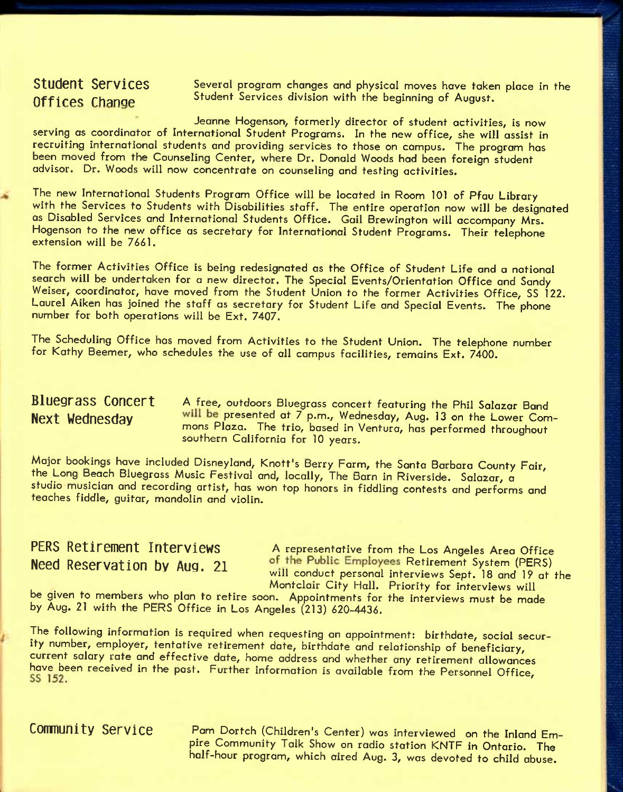Student Services Several program changes and physical moves have taken place in the Offices Change Student Services division with the beginning of August.

Jeanne Hogenson, formerly director of student activities, is now serving as coordinator of International Student Programs. In the new office, she will assist in recruiting international students and providing services to those on campus. The program has been moved from the Counseling Center, where Dr. Donald Woods hod been foreign student advisor. Dr. Woods will now concentrate on counseling and testing activities.

The new International Students Program Office will be located in Room 101 of Pfau Library with the Services to Students with Disabilities staff. The entire operation now will be designated as Disabled Services and International Students Office. Gail Brewington will accompany Mrs. Hogenson to the new office as secretary for International Student Programs. Their telephone extension will be 7661.

The former Activities Office is being redesignated as the Office of Student Life and a national search will be undertaken for a new director. The Special Events/Orientation Office and Sandy Weiser, coordinator, have moved from the Student Union to the former Activities Office, SS 122. Laurel Aiken has joined the staff as secretary for Student Life and Special Events, The phone number for both operations will be Ext. 7407.

The Scheduling Office has moved from Activities to the Student Union. The telephone number for Kathy Beemer, who schedules the use of all campus facilities, remains Ext. 7400.

**Bluegrass Concert A** free, outdoors Bluegrass concert featuring the Phil Salazar Band Next Wednesday will be presented at 7 p.m., Wednesday, Aug. 13 on the Lower Commons Plaza. The trio, based in Ventura, has performed throughout southern California for 10 years.

Major bookings have included Disneyland, Knott's Berry Farm, the Santa Barbara County Fair, the Long Beach Bluegrass Music Festival and, locally. The Barn in Riverside. Salazar, a studio musician and recording artist, has won top honors in fiddling contests and performs and teaches fiddle, guitar, mandolin and violin.

PERS Retirement Interviews A representative from the Los Angeles Area Office **Need Reservation by Aug. 21** of the Public Employees Retirement System (PERS) will conduct personal interviews Sept. 18 and 19 at the Montclair City Hall. Priority for interviews will

be given to members who plan to retire soon. Appointments for the interviews must be made by Aug. 21 with the PERS Office in Los Angeles (213) 620-4436.

The following information is required when requesting an appointment: birthdate, social security number, employer, tentative retirement date, birthdate and relationship of beneficiary, current salary rate and effective date, home address and whether any retirement allowances have been received in the past. Further information is available from the Personnel Office,

**Community Service** Pam Dortch (children's Center) was interviewed on the Inland Empire Community Talk Show on radio station KNTF in Ontario. The half-hour program, which aired Aug. 3, was devoted to child abuse.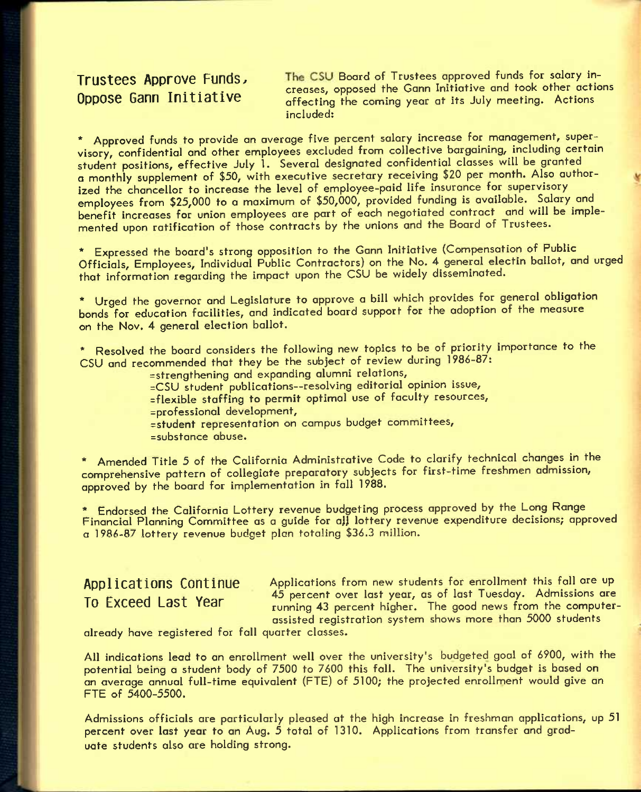**Trustees Approve Funds, The CSU Board of Trustees approved funds for salary in-THEORY TIPP CONTROLLY CONTROLLY**<br>Creases, opposed the Gann Initiative and took other actions<br>offecting the coming year at its July meeting. Actions affecting the coming year at its July meeting. Actions included:

\* Approved funds to provide an average five percent salary increase for management, supervisory, confidential and other employees excluded from collective bargaining, including certain student positions, effective July 1. Several designated confidential classes will be granted a monthly supplement of \$50, with executive secretary receiving \$20 per month. Also authorized the chancellor to increase the level of employee-paid life insurance for supervisory employees from \$25,000 to a maximum of \$50,000, provided funding is available. Salary and benefit increases for union employees are part of each negotiated contract and will be implemented upon ratification of those contracts by the unions and the Board of Trustees.

\* Expressed the board's strong opposition to the Gann Initiative (Compensation of Public Officials, Employees, Individual Public Contractors) on the No. 4 general electin ballot, and urged that information regarding the impact upon the CSU be widely disseminated.

\* Urged the governor and Legislature to approve a bill which provides for general obligation bonds for education facilities, and indicated board support for the adoption of the measure on the Nov. 4 general election ballot.

\* Resolved the board considers the following new topics to be of priority importance to the CSU and recommended that they be the subject of review during 1986-87:

=strengthening and expanding alumni relations,

=CSU student publications—resolving editorial opinion issue,

- =flexible staffing to permit optimal use of faculty resources,
- =professional development,
- =student representation on campus budget committees, =substance abuse.

\* Amended Title 5 of the California Administrative Code to clarify technical changes in the comprehensive pattern of collegiate preparatory subjects for first-time freshmen admission, approved by the board for implementation in fall 1988.

\* Endorsed the California Lottery revenue budgeting process approved by the Long Range Financial Planning Committee as a guide for all lottery revenue expenditure decisions; approved a 1986-87 lottery revenue budget plan totaling \$36.3 million.

# **Applications Continue To Exceed Last Year**

Applications from new students for enrollment this fall are up 45 percent over last year, as of last Tuesday. Admissions are running 43 percent higher. The good news from the computerassisted registration system shows more than 5000 students

already have registered for fall quarter classes.

All indications lead to an enrollment well over the university's budgeted goal of 6900, with the potential being a student body of 7500 to 7600 this fall. The university's budget is based on an average annual full-time equivalent (FTE) of 5100; the projected enrollment would give an FTE of 5400-5500.

Admissions officials are particularly pleased at the high increase in freshman applications, up 51 percent over last year to an Aug. 5 total of 1310. Applications from transfer and graduate students also are holding strong.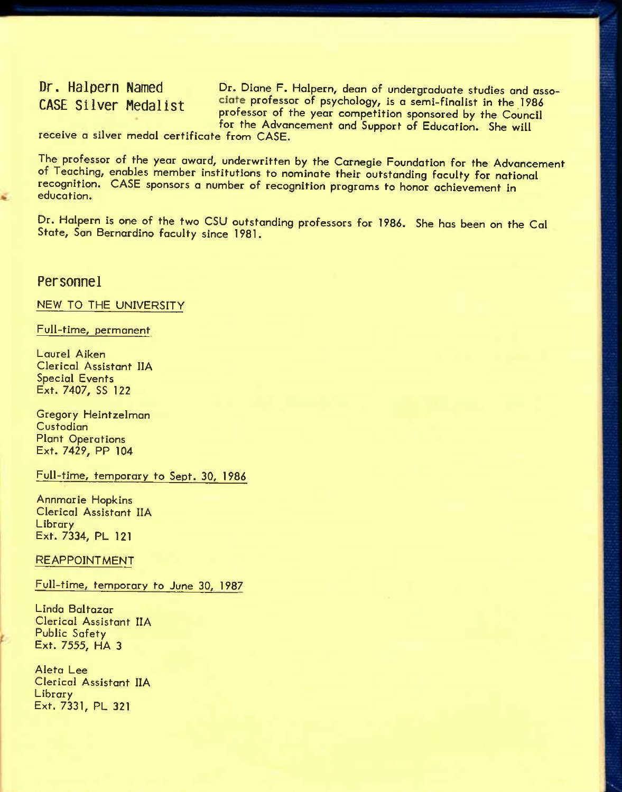Dr. Halpern Named Dr. Diane F. Halpern, dean of undergraduate studies and asso-CASE Silver Medalist ciate professor of psychology, is a semi-finalist in the 1986 professor of the year competition sponsored by the Council for the Advancement and Support of Education. She will

receive a silver medal certificate from CASE.

The professor of the year award, underwritten by the Carnegie Foundation for the Advancement of Teaching, enables member institutions to nominate their outstanding faculty for national recognition. CASE sponsors a number of recognition programs to honor achievement in education.

Dr. Halpern is one of the two CSU outstanding professors for 1986. She has been on the Cal State, San Bernardino faculty since 1981.

### **Personnel**

NEW TO THE UNIVERSITY

Full-time, permonent

Laurel Aiken Clerical Assistant IIA Special Events Ext. 7407, SS 122

Gregory Heintzelmon Custodian Plant Operations Ext. 7429, PR 104

Full-time, temporory to Sept. 30, 1986

Annmarie Hopkins Clerical Assistant IIA Library Ext. 7334, PL 121

**REAPPOINTMENT** 

Full-time, temporary to June 30, 1987

Linda Baltazar Clerical Assistant IIA Public Safety Ext. 7555, HA 3

Aleta Lee Clerical Assistant IIA Library Ext. 7331, PL 321